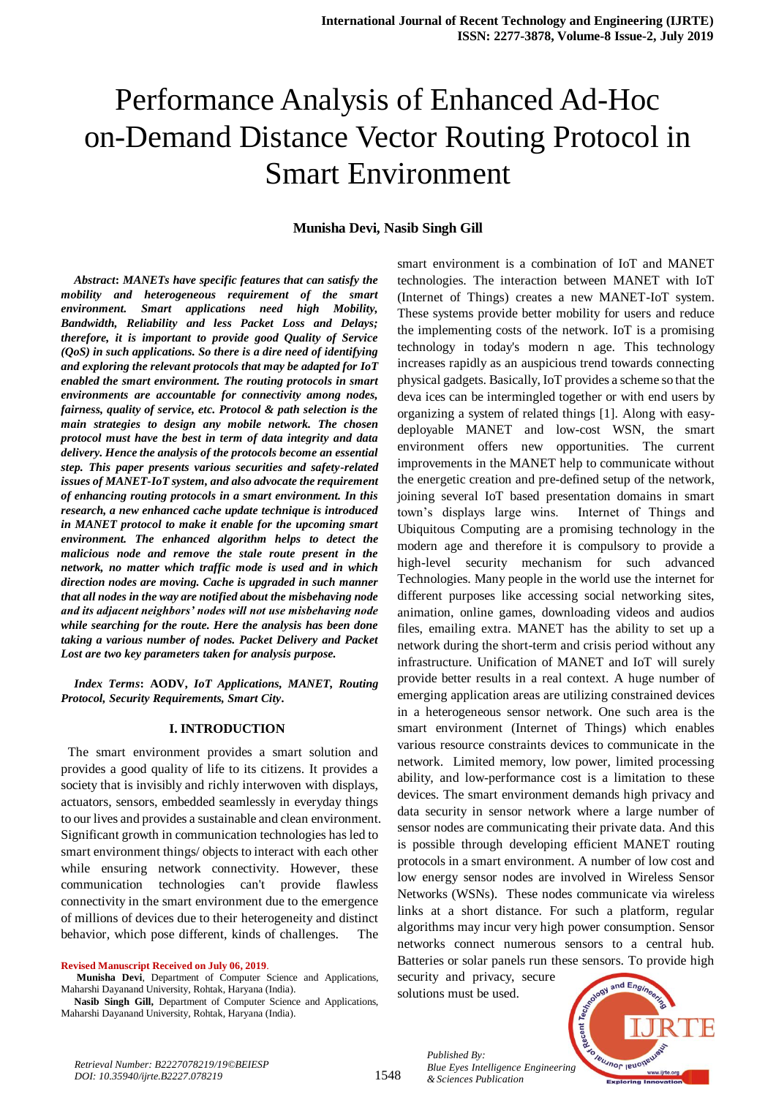# Performance Analysis of Enhanced Ad-Hoc on-Demand Distance Vector Routing Protocol in Smart Environment

## **Munisha Devi, Nasib Singh Gill**

*Abstract***:** *MANETs have specific features that can satisfy the mobility and heterogeneous requirement of the smart environment. Smart applications need high Mobility, Bandwidth, Reliability and less Packet Loss and Delays; therefore, it is important to provide good Quality of Service (QoS) in such applications. So there is a dire need of identifying and exploring the relevant protocols that may be adapted for IoT enabled the smart environment. The routing protocols in smart environments are accountable for connectivity among nodes, fairness, quality of service, etc. Protocol & path selection is the main strategies to design any mobile network. The chosen protocol must have the best in term of data integrity and data delivery. Hence the analysis of the protocols become an essential step. This paper presents various securities and safety-related issues of MANET-IoT system, and also advocate the requirement of enhancing routing protocols in a smart environment. In this research, a new enhanced cache update technique is introduced in MANET protocol to make it enable for the upcoming smart environment. The enhanced algorithm helps to detect the malicious node and remove the stale route present in the network, no matter which traffic mode is used and in which direction nodes are moving. Cache is upgraded in such manner that all nodes in the way are notified about the misbehaving node and its adjacent neighbors' nodes will not use misbehaving node while searching for the route. Here the analysis has been done taking a various number of nodes. Packet Delivery and Packet Lost are two key parameters taken for analysis purpose.*

*Index Terms***: AODV,** *IoT Applications, MANET, Routing Protocol, Security Requirements, Smart City.*

#### **I. INTRODUCTION**

 The smart environment provides a smart solution and provides a good quality of life to its citizens. It provides a society that is invisibly and richly interwoven with displays, actuators, sensors, embedded seamlessly in everyday things to our lives and provides a sustainable and clean environment. Significant growth in communication technologies has led to smart environment things/ objects to interact with each other while ensuring network connectivity. However, these communication technologies can't provide flawless connectivity in the smart environment due to the emergence of millions of devices due to their heterogeneity and distinct behavior, which pose different, kinds of challenges. The

**Revised Manuscript Received on July 06, 2019**.

smart environment is a combination of IoT and MANET technologies. The interaction between MANET with IoT (Internet of Things) creates a new MANET-IoT system. These systems provide better mobility for users and reduce the implementing costs of the network. IoT is a promising technology in today's modern n age. This technology increases rapidly as an auspicious trend towards connecting physical gadgets. Basically, IoT provides a scheme so that the deva ices can be intermingled together or with end users by organizing a system of related things [1]. Along with easydeployable MANET and low-cost WSN, the smart environment offers new opportunities. The current improvements in the MANET help to communicate without the energetic creation and pre-defined setup of the network, joining several IoT based presentation domains in smart town's displays large wins. Internet of Things and Ubiquitous Computing are a promising technology in the modern age and therefore it is compulsory to provide a high-level security mechanism for such advanced Technologies. Many people in the world use the internet for different purposes like accessing social networking sites, animation, online games, downloading videos and audios files, emailing extra. MANET has the ability to set up a network during the short-term and crisis period without any infrastructure. Unification of MANET and IoT will surely provide better results in a real context. A huge number of emerging application areas are utilizing constrained devices in a heterogeneous sensor network. One such area is the smart environment (Internet of Things) which enables various resource constraints devices to communicate in the network. Limited memory, low power, limited processing ability, and low-performance cost is a limitation to these devices. The smart environment demands high privacy and data security in sensor network where a large number of sensor nodes are communicating their private data. And this is possible through developing efficient MANET routing protocols in a smart environment. A number of low cost and low energy sensor nodes are involved in Wireless Sensor Networks (WSNs). These nodes communicate via wireless links at a short distance. For such a platform, regular algorithms may incur very high power consumption. Sensor networks connect numerous sensors to a central hub. Batteries or solar panels run these sensors. To provide high

security and privacy, secure solutions must be used.

*& Sciences Publication* 

*Published By:*



**Munisha Devi**, Department of Computer Science and Applications, Maharshi Dayanand University, Rohtak, Haryana (India).

**Nasib Singh Gill,** Department of Computer Science and Applications, Maharshi Dayanand University, Rohtak, Haryana (India).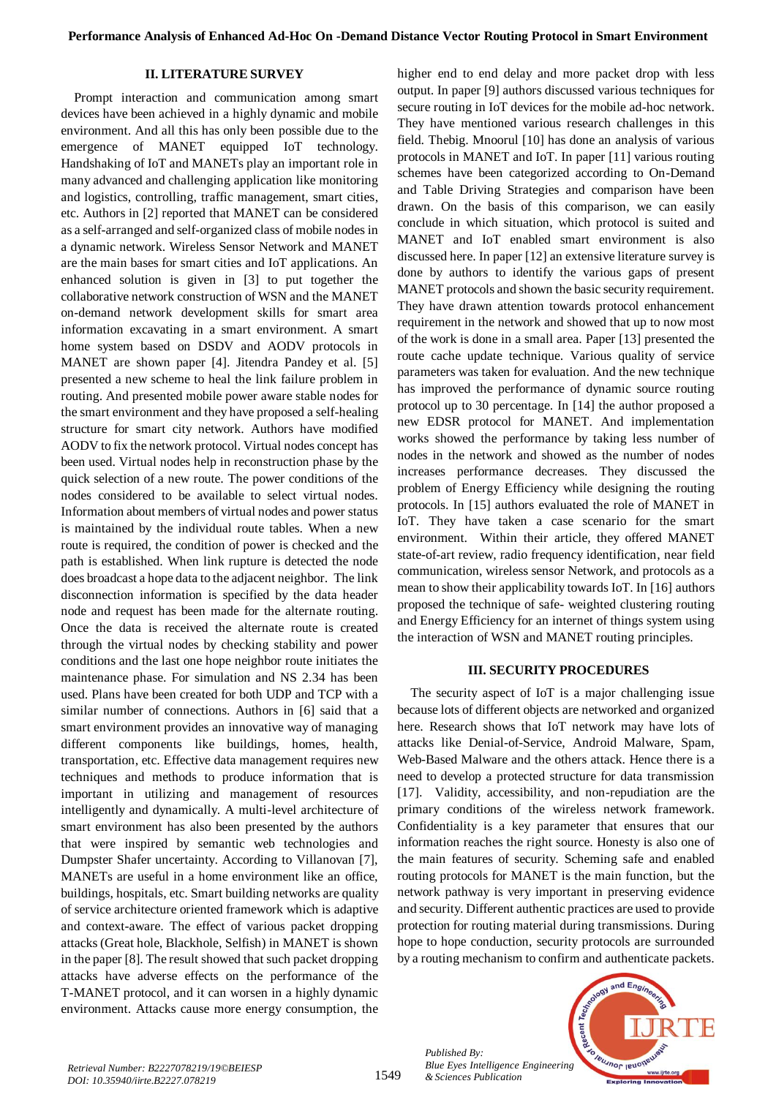## **II. LITERATURE SURVEY**

Prompt interaction and communication among smart devices have been achieved in a highly dynamic and mobile environment. And all this has only been possible due to the emergence of MANET equipped IoT technology. Handshaking of IoT and MANETs play an important role in many advanced and challenging application like monitoring and logistics, controlling, traffic management, smart cities, etc. Authors in [2] reported that MANET can be considered as a self-arranged and self-organized class of mobile nodes in a dynamic network. Wireless Sensor Network and MANET are the main bases for smart cities and IoT applications. An enhanced solution is given in [3] to put together the collaborative network construction of WSN and the MANET on-demand network development skills for smart area information excavating in a smart environment. A smart home system based on DSDV and AODV protocols in MANET are shown paper [4]. Jitendra Pandey et al. [5] presented a new scheme to heal the link failure problem in routing. And presented mobile power aware stable nodes for the smart environment and they have proposed a self-healing structure for smart city network. Authors have modified AODV to fix the network protocol. Virtual nodes concept has been used. Virtual nodes help in reconstruction phase by the quick selection of a new route. The power conditions of the nodes considered to be available to select virtual nodes. Information about members of virtual nodes and power status is maintained by the individual route tables. When a new route is required, the condition of power is checked and the path is established. When link rupture is detected the node does broadcast a hope data to the adjacent neighbor. The link disconnection information is specified by the data header node and request has been made for the alternate routing. Once the data is received the alternate route is created through the virtual nodes by checking stability and power conditions and the last one hope neighbor route initiates the maintenance phase. For simulation and NS 2.34 has been used. Plans have been created for both UDP and TCP with a similar number of connections. Authors in [6] said that a smart environment provides an innovative way of managing different components like buildings, homes, health, transportation, etc. Effective data management requires new techniques and methods to produce information that is important in utilizing and management of resources intelligently and dynamically. A multi-level architecture of smart environment has also been presented by the authors that were inspired by semantic web technologies and Dumpster Shafer uncertainty. According to Villanovan [7], MANETs are useful in a home environment like an office, buildings, hospitals, etc. Smart building networks are quality of service architecture oriented framework which is adaptive and context-aware. The effect of various packet dropping attacks (Great hole, Blackhole, Selfish) in MANET is shown in the paper [8]. The result showed that such packet dropping attacks have adverse effects on the performance of the T-MANET protocol, and it can worsen in a highly dynamic environment. Attacks cause more energy consumption, the higher end to end delay and more packet drop with less output. In paper [9] authors discussed various techniques for secure routing in IoT devices for the mobile ad-hoc network. They have mentioned various research challenges in this field. Thebig. Mnoorul [10] has done an analysis of various protocols in MANET and IoT. In paper [11] various routing schemes have been categorized according to On-Demand and Table Driving Strategies and comparison have been drawn. On the basis of this comparison, we can easily conclude in which situation, which protocol is suited and MANET and IoT enabled smart environment is also discussed here. In paper [12] an extensive literature survey is done by authors to identify the various gaps of present MANET protocols and shown the basic security requirement. They have drawn attention towards protocol enhancement requirement in the network and showed that up to now most of the work is done in a small area. Paper [13] presented the route cache update technique. Various quality of service parameters was taken for evaluation. And the new technique has improved the performance of dynamic source routing protocol up to 30 percentage. In [14] the author proposed a new EDSR protocol for MANET. And implementation works showed the performance by taking less number of nodes in the network and showed as the number of nodes increases performance decreases. They discussed the problem of Energy Efficiency while designing the routing protocols. In [15] authors evaluated the role of MANET in IoT. They have taken a case scenario for the smart environment. Within their article, they offered MANET state-of-art review, radio frequency identification, near field communication, wireless sensor Network, and protocols as a mean to show their applicability towards IoT. In [16] authors proposed the technique of safe- weighted clustering routing and Energy Efficiency for an internet of things system using the interaction of WSN and MANET routing principles.

#### **III. SECURITY PROCEDURES**

The security aspect of IoT is a major challenging issue because lots of different objects are networked and organized here. Research shows that IoT network may have lots of attacks like Denial-of-Service, Android Malware, Spam, Web-Based Malware and the others attack. Hence there is a need to develop a protected structure for data transmission [17]. Validity, accessibility, and non-repudiation are the primary conditions of the wireless network framework. Confidentiality is a key parameter that ensures that our information reaches the right source. Honesty is also one of the main features of security. Scheming safe and enabled routing protocols for MANET is the main function, but the network pathway is very important in preserving evidence and security. Different authentic practices are used to provide protection for routing material during transmissions. During hope to hope conduction, security protocols are surrounded by a routing mechanism to confirm and authenticate packets.



*Published By:*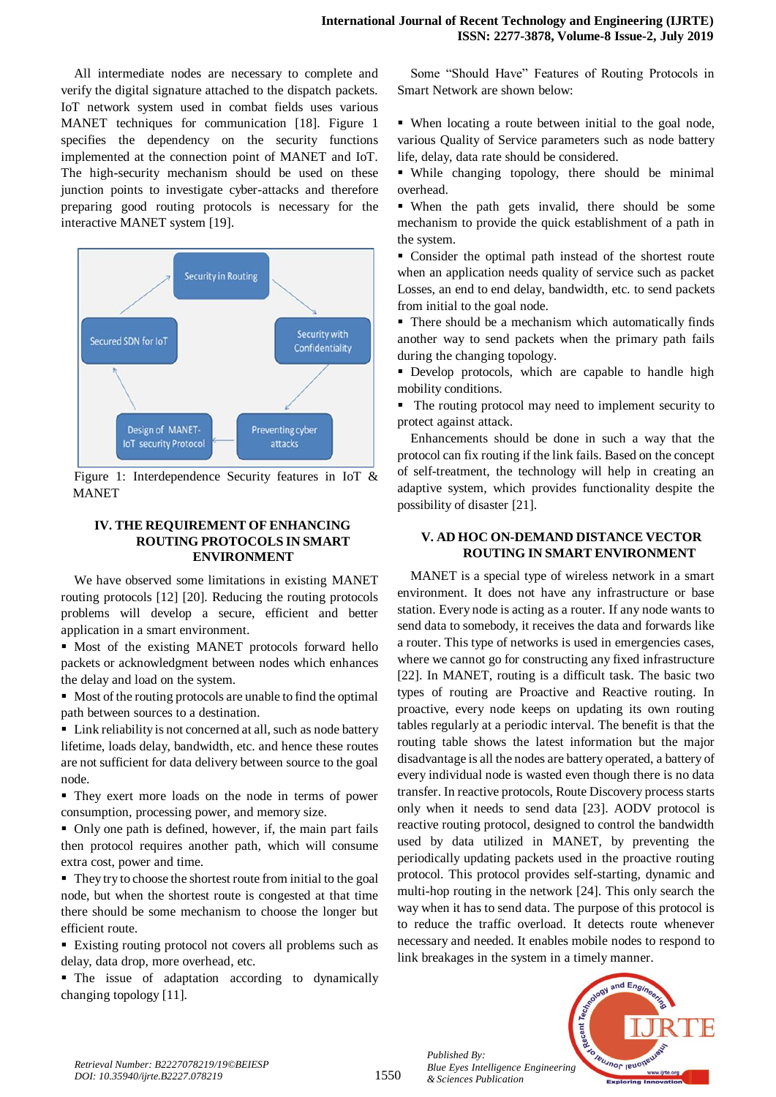All intermediate nodes are necessary to complete and verify the digital signature attached to the dispatch packets. IoT network system used in combat fields uses various MANET techniques for communication [18]. Figure 1 specifies the dependency on the security functions implemented at the connection point of MANET and IoT. The high-security mechanism should be used on these junction points to investigate cyber-attacks and therefore preparing good routing protocols is necessary for the interactive MANET system [19].



Figure 1: Interdependence Security features in IoT & MANET

## **IV. THE REQUIREMENT OF ENHANCING ROUTING PROTOCOLS IN SMART ENVIRONMENT**

We have observed some limitations in existing MANET routing protocols [12] [20]. Reducing the routing protocols problems will develop a secure, efficient and better application in a smart environment.

 Most of the existing MANET protocols forward hello packets or acknowledgment between nodes which enhances the delay and load on the system.

 Most of the routing protocols are unable to find the optimal path between sources to a destination.

■ Link reliability is not concerned at all, such as node battery lifetime, loads delay, bandwidth, etc. and hence these routes are not sufficient for data delivery between source to the goal node.

 They exert more loads on the node in terms of power consumption, processing power, and memory size.

 Only one path is defined, however, if, the main part fails then protocol requires another path, which will consume extra cost, power and time.

 They try to choose the shortest route from initial to the goal node, but when the shortest route is congested at that time there should be some mechanism to choose the longer but efficient route.

 Existing routing protocol not covers all problems such as delay, data drop, more overhead, etc.

 The issue of adaptation according to dynamically changing topology [11].

Some "Should Have" Features of Routing Protocols in Smart Network are shown below:

 When locating a route between initial to the goal node, various Quality of Service parameters such as node battery life, delay, data rate should be considered.

 While changing topology, there should be minimal overhead.

 When the path gets invalid, there should be some mechanism to provide the quick establishment of a path in the system.

 Consider the optimal path instead of the shortest route when an application needs quality of service such as packet Losses, an end to end delay, bandwidth, etc. to send packets from initial to the goal node.

 There should be a mechanism which automatically finds another way to send packets when the primary path fails during the changing topology.

 Develop protocols, which are capable to handle high mobility conditions.

• The routing protocol may need to implement security to protect against attack.

Enhancements should be done in such a way that the protocol can fix routing if the link fails. Based on the concept of self-treatment, the technology will help in creating an adaptive system, which provides functionality despite the possibility of disaster [21].

## **V. AD HOC ON-DEMAND DISTANCE VECTOR ROUTING IN SMART ENVIRONMENT**

MANET is a special type of wireless network in a smart environment. It does not have any infrastructure or base station. Every node is acting as a router. If any node wants to send data to somebody, it receives the data and forwards like a router. This type of networks is used in emergencies cases, where we cannot go for constructing any fixed infrastructure [22]. In MANET, routing is a difficult task. The basic two types of routing are Proactive and Reactive routing. In proactive, every node keeps on updating its own routing tables regularly at a periodic interval. The benefit is that the routing table shows the latest information but the major disadvantage is all the nodes are battery operated, a battery of every individual node is wasted even though there is no data transfer. In reactive protocols, Route Discovery process starts only when it needs to send data [23]. AODV protocol is reactive routing protocol, designed to control the bandwidth used by data utilized in MANET, by preventing the periodically updating packets used in the proactive routing protocol. This protocol provides self-starting, dynamic and multi-hop routing in the network [24]. This only search the way when it has to send data. The purpose of this protocol is to reduce the traffic overload. It detects route whenever necessary and needed. It enables mobile nodes to respond to link breakages in the system in a timely manner.



*Published By:*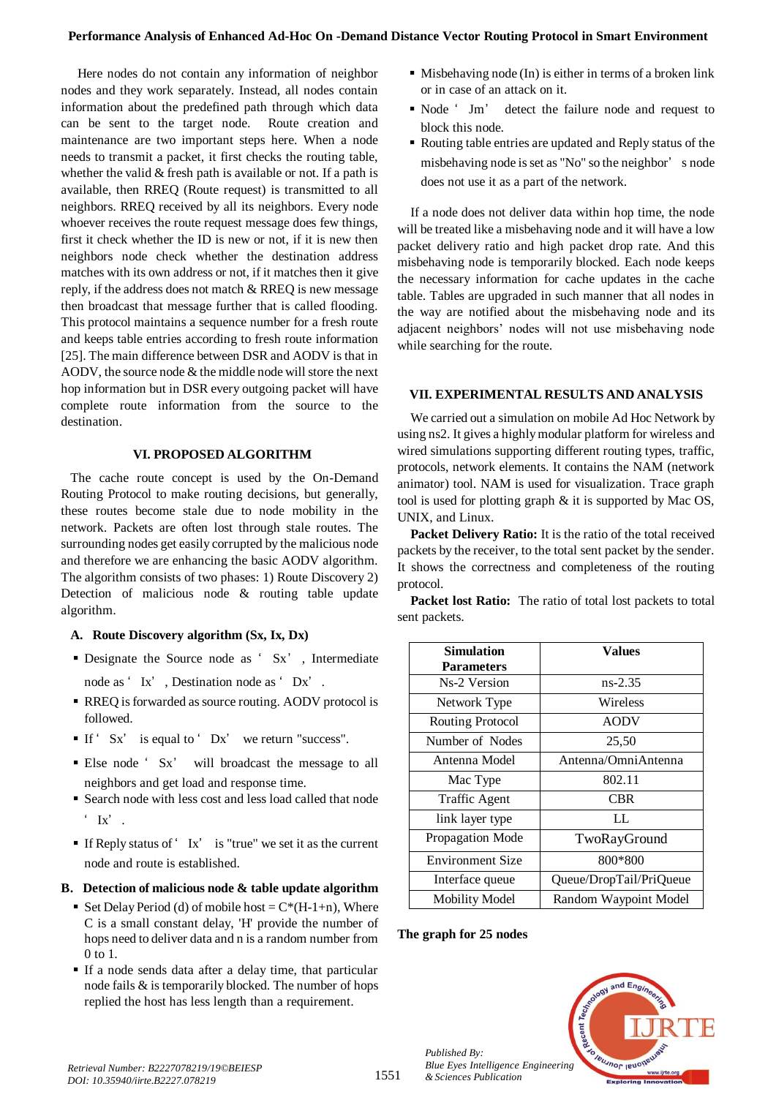## **Performance Analysis of Enhanced Ad-Hoc On -Demand Distance Vector Routing Protocol in Smart Environment**

Here nodes do not contain any information of neighbor nodes and they work separately. Instead, all nodes contain information about the predefined path through which data can be sent to the target node. Route creation and maintenance are two important steps here. When a node needs to transmit a packet, it first checks the routing table, whether the valid  $&$  fresh path is available or not. If a path is available, then RREQ (Route request) is transmitted to all neighbors. RREQ received by all its neighbors. Every node whoever receives the route request message does few things, first it check whether the ID is new or not, if it is new then neighbors node check whether the destination address matches with its own address or not, if it matches then it give reply, if the address does not match & RREQ is new message then broadcast that message further that is called flooding. This protocol maintains a sequence number for a fresh route and keeps table entries according to fresh route information [25]. The main difference between DSR and AODV is that in AODV, the source node & the middle node will store the next hop information but in DSR every outgoing packet will have complete route information from the source to the destination.

## **VI. PROPOSED ALGORITHM**

The cache route concept is used by the On-Demand Routing Protocol to make routing decisions, but generally, these routes become stale due to node mobility in the network. Packets are often lost through stale routes. The surrounding nodes get easily corrupted by the malicious node and therefore we are enhancing the basic AODV algorithm. The algorithm consists of two phases: 1) Route Discovery 2) Detection of malicious node & routing table update algorithm.

## **A. Route Discovery algorithm (Sx, Ix, Dx)**

- Designate the Source node as ' Sx' , Intermediate node as ' Ix' , Destination node as ' Dx' .
- RREQ is forwarded as source routing. AODV protocol is followed.
- If '  $Sx'$  is equal to '  $Dx'$  we return "success".
- Else node ' Sx' will broadcast the message to all neighbors and get load and response time.
- Search node with less cost and less load called that node  $'$  Ix'.
- If Reply status of ' Ix' is "true" we set it as the current node and route is established.

#### **B. Detection of malicious node & table update algorithm**

- Set Delay Period (d) of mobile host =  $C^*(H-1+n)$ . Where C is a small constant delay, 'H' provide the number of hops need to deliver data and n is a random number from  $0$  to  $1$ .
- If a node sends data after a delay time, that particular node fails & is temporarily blocked. The number of hops replied the host has less length than a requirement.
- $\blacksquare$  Misbehaving node (In) is either in terms of a broken link or in case of an attack on it.
- Node ' Jm' detect the failure node and request to block this node.
- Routing table entries are updated and Reply status of the misbehaving node is set as "No" so the neighbor' s node does not use it as a part of the network.

If a node does not deliver data within hop time, the node will be treated like a misbehaving node and it will have a low packet delivery ratio and high packet drop rate. And this misbehaving node is temporarily blocked. Each node keeps the necessary information for cache updates in the cache table. Tables are upgraded in such manner that all nodes in the way are notified about the misbehaving node and its adjacent neighbors' nodes will not use misbehaving node while searching for the route.

#### **VII. EXPERIMENTAL RESULTS AND ANALYSIS**

We carried out a simulation on mobile Ad Hoc Network by using ns2. It gives a highly modular platform for wireless and wired simulations supporting different routing types, traffic, protocols, network elements. It contains the NAM (network animator) tool. NAM is used for visualization. Trace graph tool is used for plotting graph & it is supported by Mac OS, UNIX, and Linux.

**Packet Delivery Ratio:** It is the ratio of the total received packets by the receiver, to the total sent packet by the sender. It shows the correctness and completeness of the routing protocol.

**Packet lost Ratio:** The ratio of total lost packets to total sent packets.

| <b>Simulation</b>       | <b>Values</b>           |
|-------------------------|-------------------------|
| <b>Parameters</b>       |                         |
| Ns-2 Version            | $ns-2.35$               |
| Network Type            | Wireless                |
| Routing Protocol        | <b>AODV</b>             |
| Number of Nodes         | 25,50                   |
| Antenna Model           | Antenna/OmniAntenna     |
| Mac Type                | 802.11                  |
| <b>Traffic Agent</b>    | CBR                     |
| link layer type         | LL.                     |
| Propagation Mode        | TwoRayGround            |
| <b>Environment Size</b> | 800*800                 |
| Interface queue         | Queue/DropTail/PriQueue |
| <b>Mobility Model</b>   | Random Waypoint Model   |

#### **The graph for 25 nodes**

*Published By:*

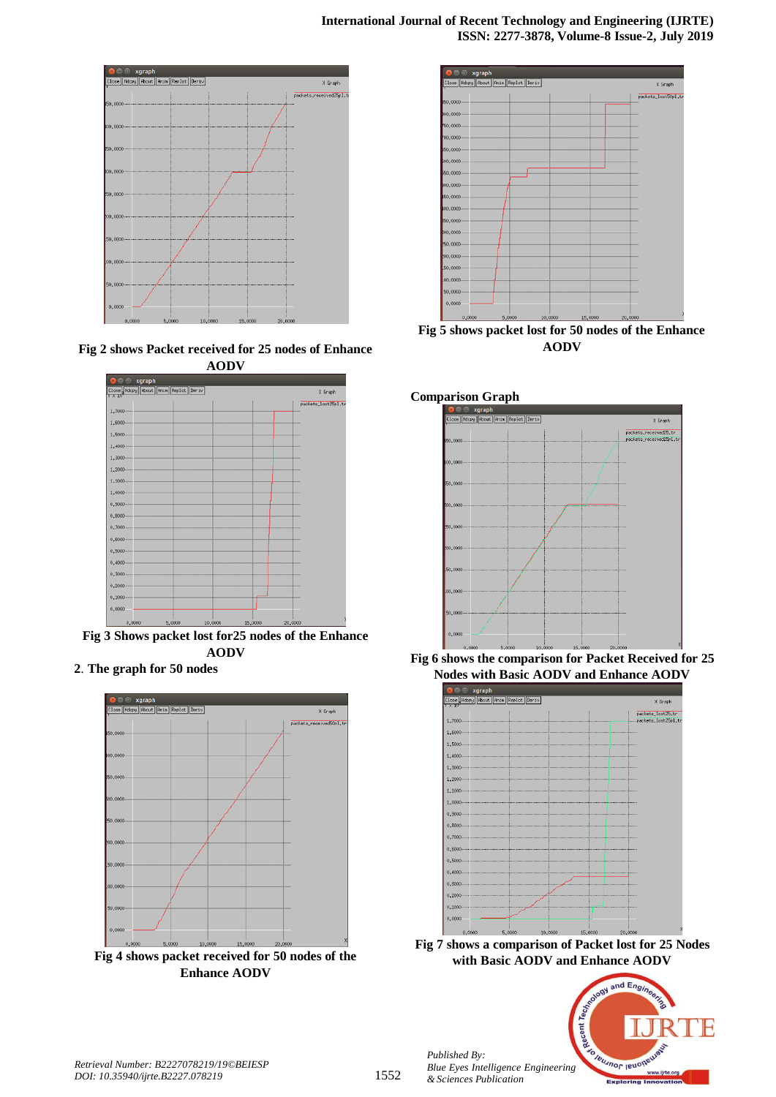

**Fig 2 shows Packet received for 25 nodes of Enhance AODV**



**Fig 3 Shows packet lost for25 nodes of the Enhance AODV**

**2**. **The graph for 50 nodes**



**Fig 4 shows packet received for 50 nodes of the Enhance AODV**



**Fig 5 shows packet lost for 50 nodes of the Enhance AODV**







**Fig 7 shows a comparison of Packet lost for 25 Nodes with Basic AODV and Enhance AODV**



*Published By:*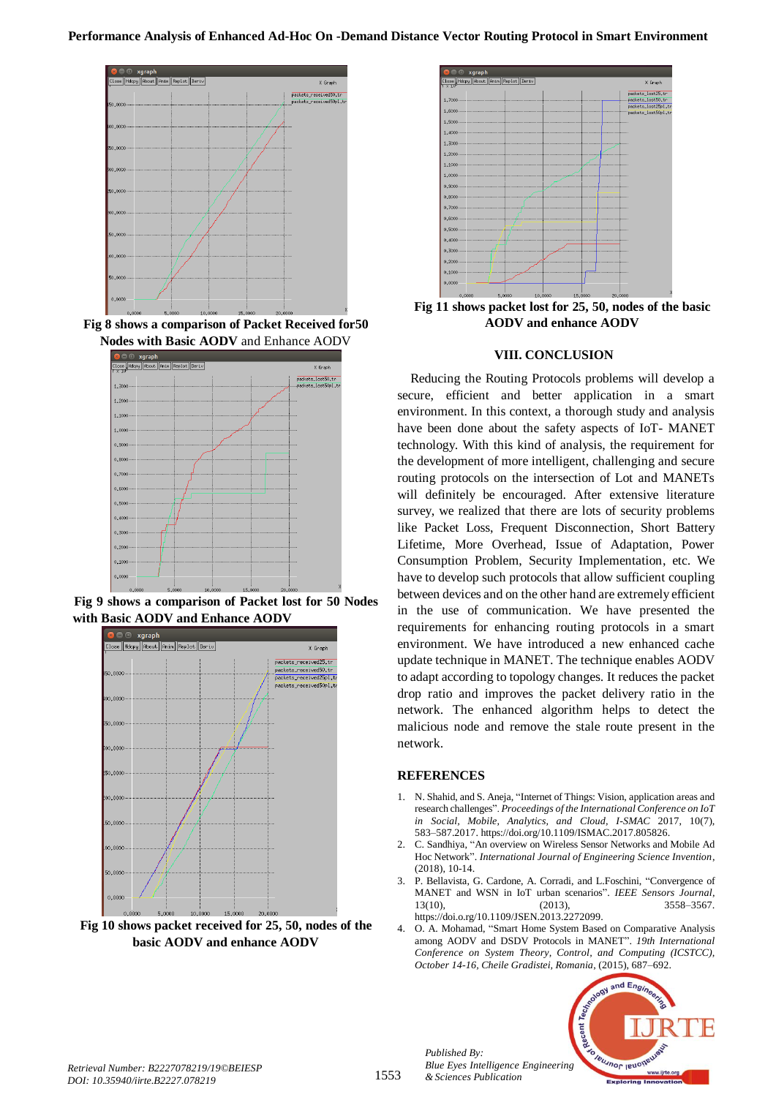

**Fig 8 shows a comparison of Packet Received for50 Nodes with Basic AODV** and Enhance AODV



**Fig 9 shows a comparison of Packet lost for 50 Nodes with Basic AODV and Enhance AODV**



**Fig 10 shows packet received for 25, 50, nodes of the basic AODV and enhance AODV**



**Fig 11 shows packet lost for 25, 50, nodes of the basic AODV and enhance AODV**

#### **VIII. CONCLUSION**

Reducing the Routing Protocols problems will develop a secure, efficient and better application in a smart environment. In this context, a thorough study and analysis have been done about the safety aspects of IoT- MANET technology. With this kind of analysis, the requirement for the development of more intelligent, challenging and secure routing protocols on the intersection of Lot and MANETs will definitely be encouraged. After extensive literature survey, we realized that there are lots of security problems like Packet Loss, Frequent Disconnection, Short Battery Lifetime, More Overhead, Issue of Adaptation, Power Consumption Problem, Security Implementation, etc. We have to develop such protocols that allow sufficient coupling between devices and on the other hand are extremely efficient in the use of communication. We have presented the requirements for enhancing routing protocols in a smart environment. We have introduced a new enhanced cache update technique in MANET. The technique enables AODV to adapt according to topology changes. It reduces the packet drop ratio and improves the packet delivery ratio in the network. The enhanced algorithm helps to detect the malicious node and remove the stale route present in the network.

## **REFERENCES**

*Published By:*

- 1. N. Shahid, and S. Aneja, "Internet of Things: Vision, application areas and research challenges". *Proceedings of the International Conference on IoT in Social, Mobile, Analytics, and Cloud, I-SMAC* 2017, 10(7), 583–587.2017. https://doi.org/10.1109/ISMAC.2017.805826.
- 2. C. Sandhiya, "An overview on Wireless Sensor Networks and Mobile Ad Hoc Network". *International Journal of Engineering Science Invention*, (2018), 10-14.
- 3. P. Bellavista, G. Cardone, A. Corradi, and L.Foschini, "Convergence of MANET and WSN in IoT urban scenarios". *IEEE Sensors Journal*, 13(10), (2013), 3558–3567. https://doi.o.rg/10.1109/JSEN.2013.2272099.
- 4. O. A. Mohamad, "Smart Home System Based on Comparative Analysis among AODV and DSDV Protocols in MANET". *19th International Conference on System Theory, Control, and Computing (ICSTCC), October 14-16, Cheile Gradistei, Romania*, (2015), 687–692.